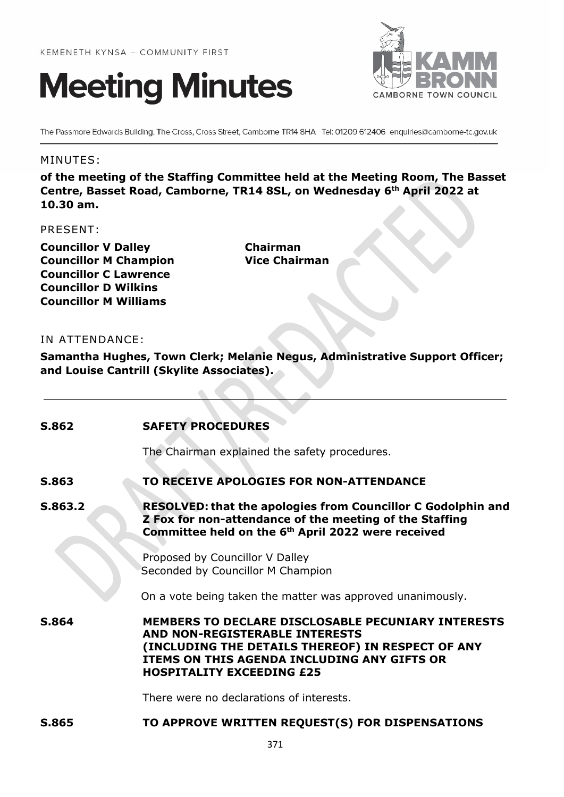



The Passmore Edwards Building, The Cross, Cross Street, Camborne TR14 8HA Tel: 01209 612406 enquiries@camborne-tc.gov.uk

#### MINUTES:

**of the meeting of the Staffing Committee held at the Meeting Room, The Basset Centre, Basset Road, Camborne, TR14 8SL, on Wednesday 6th April 2022 at 10.30 am.**

#### PRESENT:

**Councillor V Dalley Chairman Councillor M Champion Vice Chairman Councillor C Lawrence Councillor D Wilkins Councillor M Williams**

## IN ATTENDANCE:

**Samantha Hughes, Town Clerk; Melanie Negus, Administrative Support Officer; and Louise Cantrill (Skylite Associates).**

| S.862        | <b>SAFETY PROCEDURES</b>                                                                                                                                                                                                                   |
|--------------|--------------------------------------------------------------------------------------------------------------------------------------------------------------------------------------------------------------------------------------------|
|              | The Chairman explained the safety procedures.                                                                                                                                                                                              |
| S.863        | TO RECEIVE APOLOGIES FOR NON-ATTENDANCE                                                                                                                                                                                                    |
| S.863.2      | <b>RESOLVED: that the apologies from Councillor C Godolphin and</b><br>Z Fox for non-attendance of the meeting of the Staffing<br>Committee held on the 6 <sup>th</sup> April 2022 were received                                           |
|              | Proposed by Councillor V Dalley<br>Seconded by Councillor M Champion<br>On a vote being taken the matter was approved unanimously.                                                                                                         |
| S.864        | <b>MEMBERS TO DECLARE DISCLOSABLE PECUNIARY INTERESTS</b><br><b>AND NON-REGISTERABLE INTERESTS</b><br>(INCLUDING THE DETAILS THEREOF) IN RESPECT OF ANY<br>ITEMS ON THIS AGENDA INCLUDING ANY GIFTS OR<br><b>HOSPITALITY EXCEEDING £25</b> |
|              | There were no declarations of interests.                                                                                                                                                                                                   |
| <b>S.865</b> | TO APPROVE WRITTEN REQUEST(S) FOR DISPENSATIONS                                                                                                                                                                                            |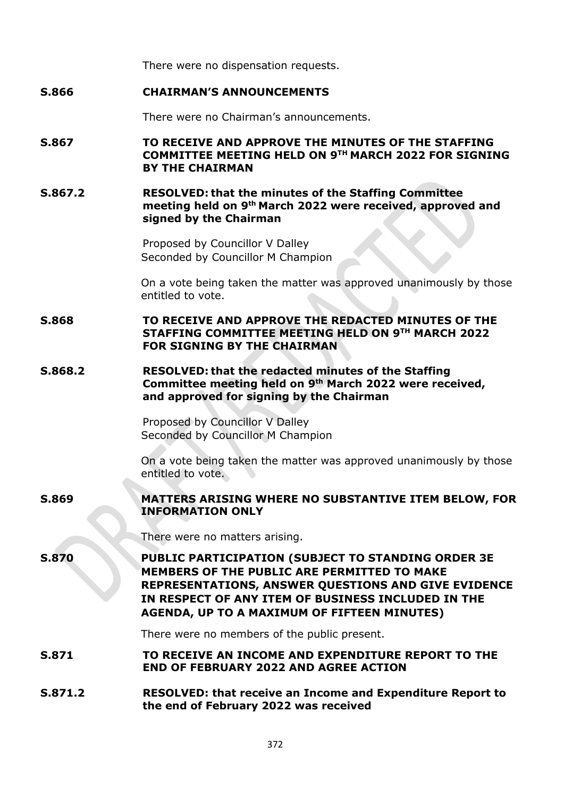There were no dispensation requests.

### **S.866 CHAIRMAN'S ANNOUNCEMENTS**

There were no Chairman's announcements.

## **S.867 TO RECEIVE AND APPROVE THE MINUTES OF THE STAFFING COMMITTEE MEETING HELD ON 9TH MARCH 2022 FOR SIGNING BY THE CHAIRMAN**

#### **S.867.2 RESOLVED: that the minutes of the Staffing Committee meeting held on 9th March 2022 were received, approved and signed by the Chairman**

Proposed by Councillor V Dalley Seconded by Councillor M Champion

On a vote being taken the matter was approved unanimously by those entitled to vote.

**S.868 TO RECEIVE AND APPROVE THE REDACTED MINUTES OF THE STAFFING COMMITTEE MEETING HELD ON 9TH MARCH 2022 FOR SIGNING BY THE CHAIRMAN**

### **S.868.2 RESOLVED: that the redacted minutes of the Staffing Committee meeting held on 9th March 2022 were received, and approved for signing by the Chairman**

Proposed by Councillor V Dalley Seconded by Councillor M Champion

On a vote being taken the matter was approved unanimously by those entitled to vote.

# **S.869 MATTERS ARISING WHERE NO SUBSTANTIVE ITEM BELOW, FOR INFORMATION ONLY**

There were no matters arising.

**S.870 PUBLIC PARTICIPATION (SUBJECT TO STANDING ORDER 3E MEMBERS OF THE PUBLIC ARE PERMITTED TO MAKE REPRESENTATIONS, ANSWER QUESTIONS AND GIVE EVIDENCE IN RESPECT OF ANY ITEM OF BUSINESS INCLUDED IN THE AGENDA, UP TO A MAXIMUM OF FIFTEEN MINUTES)**

There were no members of the public present.

**S.871 TO RECEIVE AN INCOME AND EXPENDITURE REPORT TO THE END OF FEBRUARY 2022 AND AGREE ACTION**

#### **S.871.2 RESOLVED: that receive an Income and Expenditure Report to the end of February 2022 was received**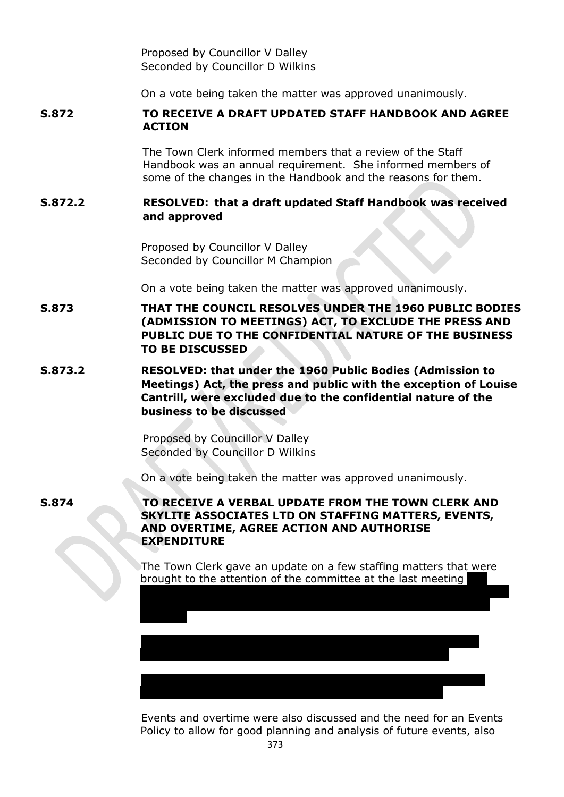Proposed by Councillor V Dalley Seconded by Councillor D Wilkins

On a vote being taken the matter was approved unanimously.

# **S.872 TO RECEIVE A DRAFT UPDATED STAFF HANDBOOK AND AGREE ACTION**

The Town Clerk informed members that a review of the Staff Handbook was an annual requirement. She informed members of some of the changes in the Handbook and the reasons for them.

## **S.872.2 RESOLVED: that a draft updated Staff Handbook was received and approved**

Proposed by Councillor V Dalley Seconded by Councillor M Champion

On a vote being taken the matter was approved unanimously.

- **S.873 THAT THE COUNCIL RESOLVES UNDER THE 1960 PUBLIC BODIES (ADMISSION TO MEETINGS) ACT, TO EXCLUDE THE PRESS AND PUBLIC DUE TO THE CONFIDENTIAL NATURE OF THE BUSINESS TO BE DISCUSSED**
- **S.873.2 RESOLVED: that under the 1960 Public Bodies (Admission to Meetings) Act, the press and public with the exception of Louise Cantrill, were excluded due to the confidential nature of the business to be discussed**

Proposed by Councillor V Dalley Seconded by Councillor D Wilkins

On a vote being taken the matter was approved unanimously.

**S.874 TO RECEIVE A VERBAL UPDATE FROM THE TOWN CLERK AND SKYLITE ASSOCIATES LTD ON STAFFING MATTERS, EVENTS, AND OVERTIME, AGREE ACTION AND AUTHORISE EXPENDITURE**

> The Town Clerk gave an update on a few staffing matters that were brought to the attention of the committee at the last meeting

Update provided on the Administration Assistant and monitoring

The maternity post will need to be taken forward due to a further

currently in place to support their development in the role.

advised that the probation period has been extended for 3 months for one member of staff, and that things have improved since the last

Events and overtime were also discussed and the need for an Events Policy to allow for good planning and analysis of future events, also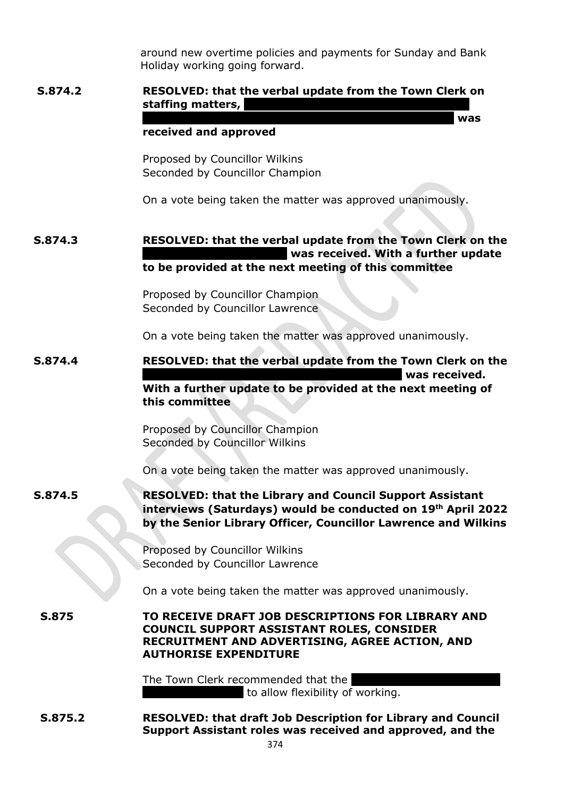around new overtime policies and payments for Sunday and Bank Holiday working going forward.

**months for the Library and Council Support Assistant was** 

# **S.874.2 RESOLVED: that the verbal update from the Town Clerk on staffing matters,**

#### **received and approved**

Proposed by Councillor Wilkins Seconded by Councillor Champion

On a vote being taken the matter was approved unanimously.

# **S.874.3 RESOLVED: that the verbal update from the Town Clerk on the k** was received. With a further update **to be provided at the next meeting of this committee**

Proposed by Councillor Champion Seconded by Councillor Lawrence

On a vote being taken the matter was approved unanimously.

# **S.874.4 RESOLVED: that the verbal update from the Town Clerk on the Library was received. With a further update to be provided at the next meeting of this committee**

Proposed by Councillor Champion Seconded by Councillor Wilkins

On a vote being taken the matter was approved unanimously.

# **S.874.5 RESOLVED: that the Library and Council Support Assistant interviews (Saturdays) would be conducted on 19th April 2022 by the Senior Library Officer, Councillor Lawrence and Wilkins**

Proposed by Councillor Wilkins Seconded by Councillor Lawrence

On a vote being taken the matter was approved unanimously.

**S.875 TO RECEIVE DRAFT JOB DESCRIPTIONS FOR LIBRARY AND COUNCIL SUPPORT ASSISTANT ROLES, CONSIDER RECRUITMENT AND ADVERTISING, AGREE ACTION, AND AUTHORISE EXPENDITURE**

> The Town Clerk recommended that the to allow flexibility of working.

**S.875.2 RESOLVED: that draft Job Description for Library and Council Support Assistant roles was received and approved, and the**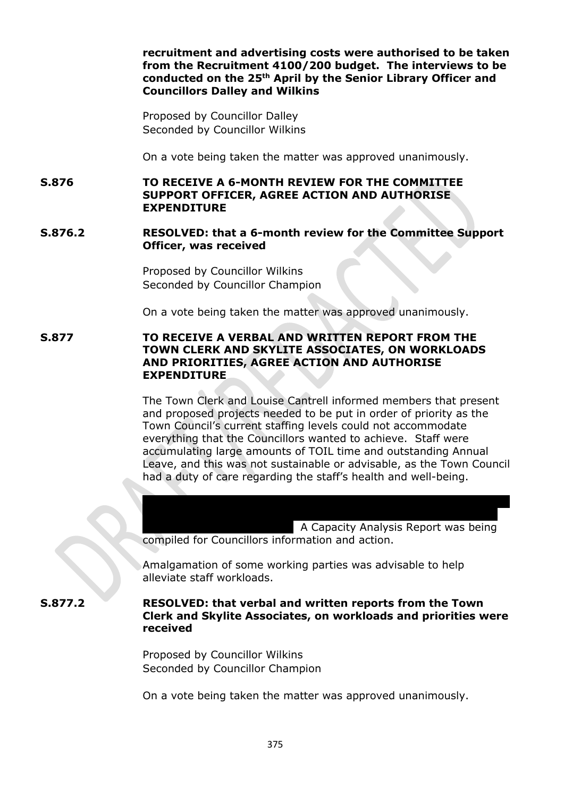**recruitment and advertising costs were authorised to be taken from the Recruitment 4100/200 budget. The interviews to be conducted on the 25th April by the Senior Library Officer and Councillors Dalley and Wilkins**

Proposed by Councillor Dalley Seconded by Councillor Wilkins

On a vote being taken the matter was approved unanimously.

**S.876 TO RECEIVE A 6-MONTH REVIEW FOR THE COMMITTEE SUPPORT OFFICER, AGREE ACTION AND AUTHORISE EXPENDITURE**

#### **S.876.2 RESOLVED: that a 6-month review for the Committee Support Officer, was received**

Proposed by Councillor Wilkins Seconded by Councillor Champion

On a vote being taken the matter was approved unanimously.

#### **S.877 TO RECEIVE A VERBAL AND WRITTEN REPORT FROM THE TOWN CLERK AND SKYLITE ASSOCIATES, ON WORKLOADS AND PRIORITIES, AGREE ACTION AND AUTHORISE EXPENDITURE**

The Town Clerk and Louise Cantrell informed members that present and proposed projects needed to be put in order of priority as the Town Council's current staffing levels could not accommodate everything that the Councillors wanted to achieve. Staff were accumulating large amounts of TOIL time and outstanding Annual Leave, and this was not sustainable or advisable, as the Town Council had a duty of care regarding the staff's health and well-being.

to acquiring additional office/work space which added weight to the A Capacity Analysis Report was being compiled for Councillors information and action.

Amalgamation of some working parties was advisable to help alleviate staff workloads.

**S.877.2 RESOLVED: that verbal and written reports from the Town Clerk and Skylite Associates, on workloads and priorities were received** 

> Proposed by Councillor Wilkins Seconded by Councillor Champion

On a vote being taken the matter was approved unanimously.